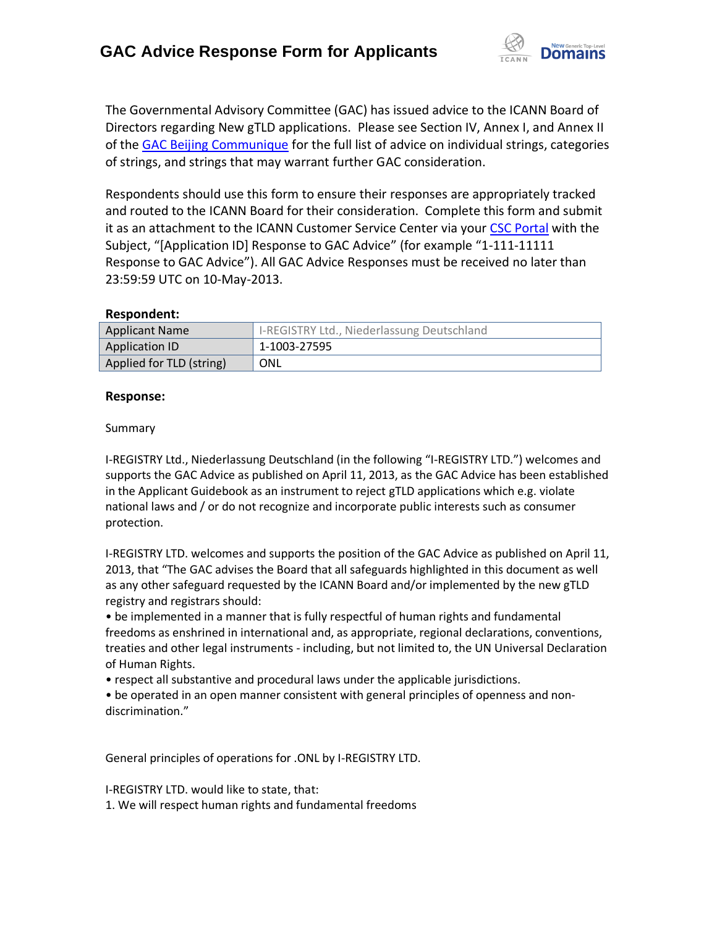

The Governmental Advisory Committee (GAC) has issued advice to the ICANN Board of Directors regarding New gTLD applications. Please see Section IV, Annex I, and Annex II of the [GAC Beijing Communique](http://www.icann.org/en/news/correspondence/gac-to-board-18apr13-en.pdf) for the full list of advice on individual strings, categories of strings, and strings that may warrant further GAC consideration.

Respondents should use this form to ensure their responses are appropriately tracked and routed to the ICANN Board for their consideration. Complete this form and submit it as an attachment to the ICANN Customer Service Center via your CSC [Portal](https://myicann.secure.force.com/) with the Subject, "[Application ID] Response to GAC Advice" (for example "1-111-11111 Response to GAC Advice"). All GAC Advice Responses must be received no later than 23:59:59 UTC on 10-May-2013.

#### **Respondent:**

| <b>Applicant Name</b>    | I-REGISTRY Ltd., Niederlassung Deutschland |
|--------------------------|--------------------------------------------|
| <b>Application ID</b>    | 1-1003-27595                               |
| Applied for TLD (string) | ONL                                        |

### **Response:**

### Summary

I-REGISTRY Ltd., Niederlassung Deutschland (in the following "I-REGISTRY LTD.") welcomes and supports the GAC Advice as published on April 11, 2013, as the GAC Advice has been established in the Applicant Guidebook as an instrument to reject gTLD applications which e.g. violate national laws and / or do not recognize and incorporate public interests such as consumer protection.

I-REGISTRY LTD. welcomes and supports the position of the GAC Advice as published on April 11, 2013, that "The GAC advises the Board that all safeguards highlighted in this document as well as any other safeguard requested by the ICANN Board and/or implemented by the new gTLD registry and registrars should:

• be implemented in a manner that is fully respectful of human rights and fundamental freedoms as enshrined in international and, as appropriate, regional declarations, conventions, treaties and other legal instruments - including, but not limited to, the UN Universal Declaration of Human Rights.

• respect all substantive and procedural laws under the applicable jurisdictions.

• be operated in an open manner consistent with general principles of openness and non‐ discrimination."

General principles of operations for .ONL by I-REGISTRY LTD.

I-REGISTRY LTD. would like to state, that: 1. We will respect human rights and fundamental freedoms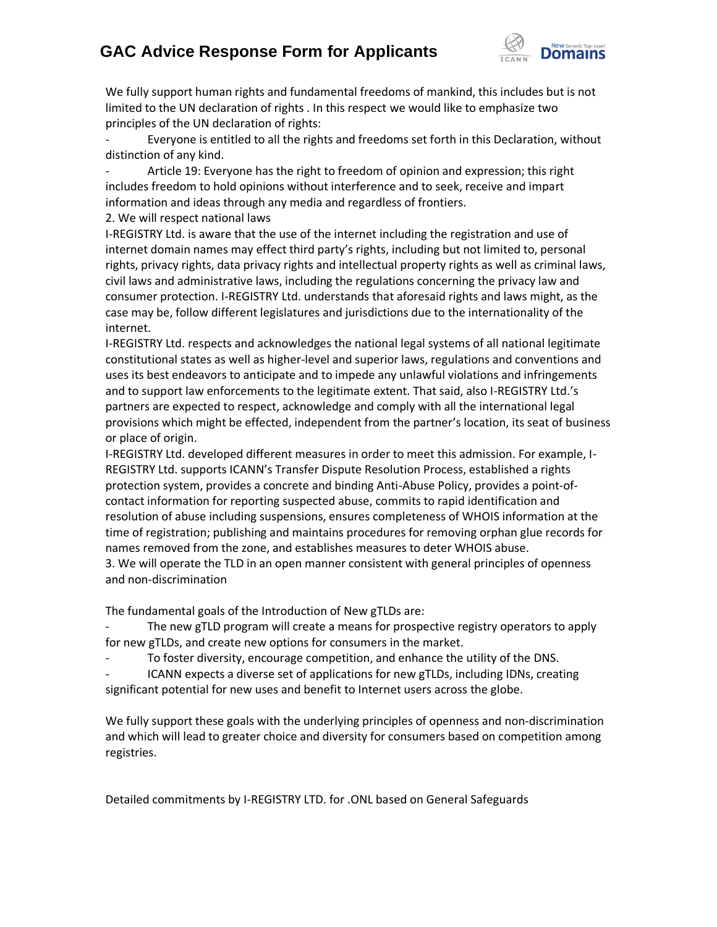## **GAC Advice Response Form for Applicants**



We fully support human rights and fundamental freedoms of mankind, this includes but is not limited to the UN declaration of rights . In this respect we would like to emphasize two principles of the UN declaration of rights:

Everyone is entitled to all the rights and freedoms set forth in this Declaration, without distinction of any kind.

Article 19: Everyone has the right to freedom of opinion and expression; this right includes freedom to hold opinions without interference and to seek, receive and impart information and ideas through any media and regardless of frontiers.

2. We will respect national laws

I-REGISTRY Ltd. is aware that the use of the internet including the registration and use of internet domain names may effect third party's rights, including but not limited to, personal rights, privacy rights, data privacy rights and intellectual property rights as well as criminal laws, civil laws and administrative laws, including the regulations concerning the privacy law and consumer protection. I-REGISTRY Ltd. understands that aforesaid rights and laws might, as the case may be, follow different legislatures and jurisdictions due to the internationality of the internet.

I-REGISTRY Ltd. respects and acknowledges the national legal systems of all national legitimate constitutional states as well as higher-level and superior laws, regulations and conventions and uses its best endeavors to anticipate and to impede any unlawful violations and infringements and to support law enforcements to the legitimate extent. That said, also I-REGISTRY Ltd.'s partners are expected to respect, acknowledge and comply with all the international legal provisions which might be effected, independent from the partner's location, its seat of business or place of origin.

I-REGISTRY Ltd. developed different measures in order to meet this admission. For example, I-REGISTRY Ltd. supports ICANN's Transfer Dispute Resolution Process, established a rights protection system, provides a concrete and binding Anti-Abuse Policy, provides a point-ofcontact information for reporting suspected abuse, commits to rapid identification and resolution of abuse including suspensions, ensures completeness of WHOIS information at the time of registration; publishing and maintains procedures for removing orphan glue records for names removed from the zone, and establishes measures to deter WHOIS abuse. 3. We will operate the TLD in an open manner consistent with general principles of openness

and non‐discrimination

The fundamental goals of the Introduction of New gTLDs are:

The new gTLD program will create a means for prospective registry operators to apply for new gTLDs, and create new options for consumers in the market.

To foster diversity, encourage competition, and enhance the utility of the DNS.

ICANN expects a diverse set of applications for new gTLDs, including IDNs, creating significant potential for new uses and benefit to Internet users across the globe.

We fully support these goals with the underlying principles of openness and non-discrimination and which will lead to greater choice and diversity for consumers based on competition among registries.

Detailed commitments by I-REGISTRY LTD. for .ONL based on General Safeguards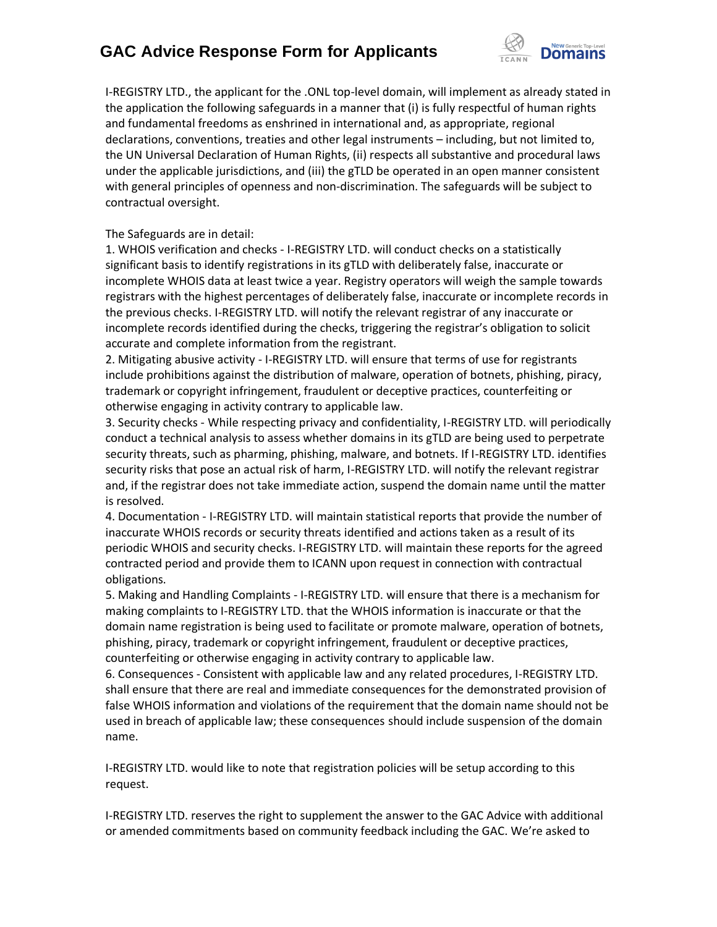## **GAC Advice Response Form for Applicants**



I-REGISTRY LTD., the applicant for the .ONL top-level domain, will implement as already stated in the application the following safeguards in a manner that (i) is fully respectful of human rights and fundamental freedoms as enshrined in international and, as appropriate, regional declarations, conventions, treaties and other legal instruments – including, but not limited to, the UN Universal Declaration of Human Rights, (ii) respects all substantive and procedural laws under the applicable jurisdictions, and (iii) the gTLD be operated in an open manner consistent with general principles of openness and non-discrimination. The safeguards will be subject to contractual oversight.

### The Safeguards are in detail:

1. WHOIS verification and checks - I-REGISTRY LTD. will conduct checks on a statistically significant basis to identify registrations in its gTLD with deliberately false, inaccurate or incomplete WHOIS data at least twice a year. Registry operators will weigh the sample towards registrars with the highest percentages of deliberately false, inaccurate or incomplete records in the previous checks. I-REGISTRY LTD. will notify the relevant registrar of any inaccurate or incomplete records identified during the checks, triggering the registrar's obligation to solicit accurate and complete information from the registrant.

2. Mitigating abusive activity - I-REGISTRY LTD. will ensure that terms of use for registrants include prohibitions against the distribution of malware, operation of botnets, phishing, piracy, trademark or copyright infringement, fraudulent or deceptive practices, counterfeiting or otherwise engaging in activity contrary to applicable law.

3. Security checks - While respecting privacy and confidentiality, I-REGISTRY LTD. will periodically conduct a technical analysis to assess whether domains in its gTLD are being used to perpetrate security threats, such as pharming, phishing, malware, and botnets. If I-REGISTRY LTD. identifies security risks that pose an actual risk of harm, I-REGISTRY LTD. will notify the relevant registrar and, if the registrar does not take immediate action, suspend the domain name until the matter is resolved.

4. Documentation - I-REGISTRY LTD. will maintain statistical reports that provide the number of inaccurate WHOIS records or security threats identified and actions taken as a result of its periodic WHOIS and security checks. I-REGISTRY LTD. will maintain these reports for the agreed contracted period and provide them to ICANN upon request in connection with contractual obligations.

5. Making and Handling Complaints - I-REGISTRY LTD. will ensure that there is a mechanism for making complaints to I-REGISTRY LTD. that the WHOIS information is inaccurate or that the domain name registration is being used to facilitate or promote malware, operation of botnets, phishing, piracy, trademark or copyright infringement, fraudulent or deceptive practices, counterfeiting or otherwise engaging in activity contrary to applicable law.

6. Consequences - Consistent with applicable law and any related procedures, I-REGISTRY LTD. shall ensure that there are real and immediate consequences for the demonstrated provision of false WHOIS information and violations of the requirement that the domain name should not be used in breach of applicable law; these consequences should include suspension of the domain name.

I-REGISTRY LTD. would like to note that registration policies will be setup according to this request.

I-REGISTRY LTD. reserves the right to supplement the answer to the GAC Advice with additional or amended commitments based on community feedback including the GAC. We're asked to